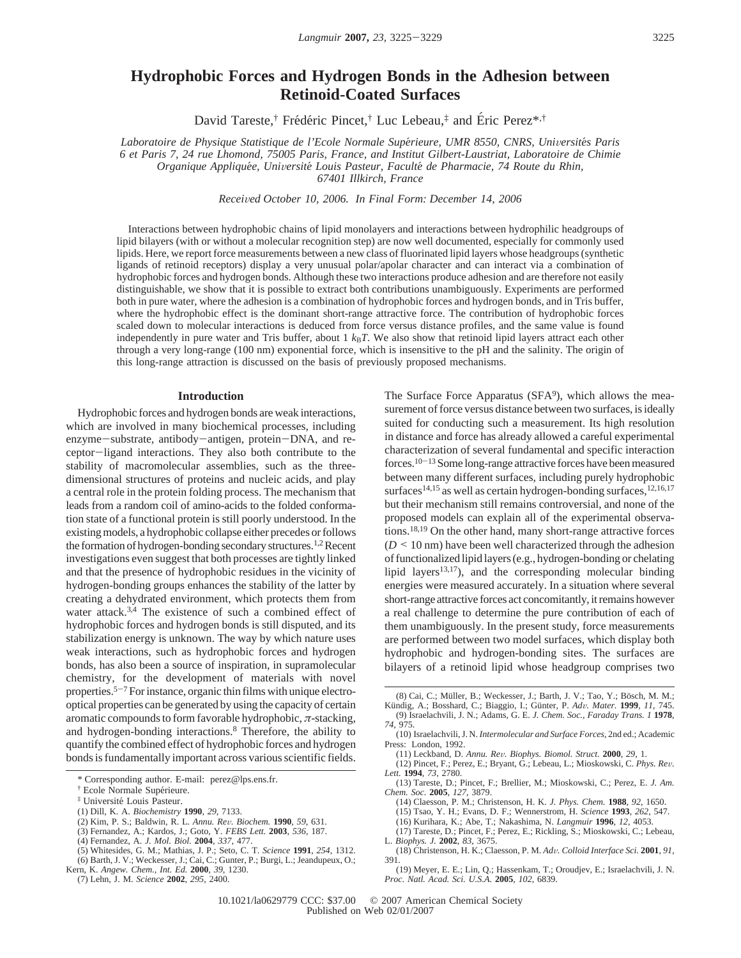# **Hydrophobic Forces and Hydrogen Bonds in the Adhesion between Retinoid-Coated Surfaces**

David Tareste,† Frédéric Pincet,† Luc Lebeau,‡ and Éric Perez\*,†

*Laboratoire de Physique Statistique de l'Ecole Normale Supe*´*rieure, UMR 8550, CNRS, Uni*V*ersite*´*s Paris 6 et Paris 7, 24 rue Lhomond, 75005 Paris, France, and Institut Gilbert-Laustriat, Laboratoire de Chimie Organique Applique*´*e, Uni*V*ersite*´ *Louis Pasteur, Faculte*´ *de Pharmacie, 74 Route du Rhin, 67401 Illkirch, France*

*Recei*V*ed October 10, 2006. In Final Form: December 14, 2006*

Interactions between hydrophobic chains of lipid monolayers and interactions between hydrophilic headgroups of lipid bilayers (with or without a molecular recognition step) are now well documented, especially for commonly used lipids. Here, we report force measurements between a new class of fluorinated lipid layers whose headgroups (synthetic ligands of retinoid receptors) display a very unusual polar/apolar character and can interact via a combination of hydrophobic forces and hydrogen bonds. Although these two interactions produce adhesion and are therefore not easily distinguishable, we show that it is possible to extract both contributions unambiguously. Experiments are performed both in pure water, where the adhesion is a combination of hydrophobic forces and hydrogen bonds, and in Tris buffer, where the hydrophobic effect is the dominant short-range attractive force. The contribution of hydrophobic forces scaled down to molecular interactions is deduced from force versus distance profiles, and the same value is found independently in pure water and Tris buffer, about  $1 \, k_B T$ . We also show that retinoid lipid layers attract each other through a very long-range (100 nm) exponential force, which is insensitive to the pH and the salinity. The origin of this long-range attraction is discussed on the basis of previously proposed mechanisms.

### **Introduction**

Hydrophobic forces and hydrogen bonds are weak interactions, which are involved in many biochemical processes, including enzyme-substrate, antibody-antigen, protein-DNA, and receptor-ligand interactions. They also both contribute to the stability of macromolecular assemblies, such as the threedimensional structures of proteins and nucleic acids, and play a central role in the protein folding process. The mechanism that leads from a random coil of amino-acids to the folded conformation state of a functional protein is still poorly understood. In the existing models, a hydrophobic collapse either precedes or follows the formation of hydrogen-bonding secondary structures.<sup>1,2</sup> Recent investigations even suggest that both processes are tightly linked and that the presence of hydrophobic residues in the vicinity of hydrogen-bonding groups enhances the stability of the latter by creating a dehydrated environment, which protects them from water attack.<sup>3,4</sup> The existence of such a combined effect of hydrophobic forces and hydrogen bonds is still disputed, and its stabilization energy is unknown. The way by which nature uses weak interactions, such as hydrophobic forces and hydrogen bonds, has also been a source of inspiration, in supramolecular chemistry, for the development of materials with novel properties.5-<sup>7</sup> For instance, organic thin films with unique electrooptical properties can be generated by using the capacity of certain aromatic compounds to form favorable hydrophobic, *π*-stacking, and hydrogen-bonding interactions.8 Therefore, the ability to quantify the combined effect of hydrophobic forces and hydrogen bonds is fundamentally important across various scientific fields.

- 
- (1) Dill, K. A. *Biochemistry* **1990**, *29*, 7133.
- (2) Kim, P. S.; Baldwin, R. L. *Annu. Rev. Biochem.* **1990**, 59, 631.<br>(3) Fernandez, A.; Kardos, J.; Goto, Y. *FEBS Lett.* **2003**, 536, 187.<br>(4) Fernandez, A. J. *Mol. Biol.* **2004**, 337, 477.
- 
- (5) Whitesides, G. M.; Mathias, J. P.; Seto, C. T. *Science* **1991**, *254*, 1312. (6) Barth, J. V.; Weckesser, J.; Cai, C.; Gunter, P.; Burgi, L.; Jeandupeux, O.;
- 
- Kern, K. *Angew. Chem., Int. Ed.* **2000**, *39*, 1230.
	- (7) Lehn, J. M. *Science* **2002**, *295*, 2400.

The Surface Force Apparatus  $(SFA<sup>9</sup>)$ , which allows the measurement of force versus distance between two surfaces, is ideally suited for conducting such a measurement. Its high resolution in distance and force has already allowed a careful experimental characterization of several fundamental and specific interaction forces.10-<sup>13</sup> Some long-range attractive forces have been measured between many different surfaces, including purely hydrophobic surfaces<sup>14,15</sup> as well as certain hydrogen-bonding surfaces,<sup>12,16,17</sup> but their mechanism still remains controversial, and none of the proposed models can explain all of the experimental observations.18,19 On the other hand, many short-range attractive forces  $(D \leq 10 \text{ nm})$  have been well characterized through the adhesion of functionalized lipid layers (e.g., hydrogen-bonding or chelating lipid layers<sup>13,17</sup>), and the corresponding molecular binding energies were measured accurately. In a situation where several short-range attractive forces act concomitantly, it remains however a real challenge to determine the pure contribution of each of them unambiguously. In the present study, force measurements are performed between two model surfaces, which display both hydrophobic and hydrogen-bonding sites. The surfaces are bilayers of a retinoid lipid whose headgroup comprises two

- (8) Cai, C.; Müller, B.; Weckesser, J.; Barth, J. V.; Tao, Y.; Bösch, M. M.; Ku¨ndig, A.; Bosshard, C.; Biaggio, I.; Gu¨nter, P. *Ad*V*. Mater.* **<sup>1999</sup>**, *<sup>11</sup>*, 745. (9) Israelachvili, J. N.; Adams, G. E. *J. Chem. Soc., Faraday Trans. 1* **1978**,
- *74*, 975. (10) Israelachvili, J. N. *Intermolecular and Surface Forces*, 2nd ed.; Academic
- Press: London, 1992. (11) Leckband, D. *Annu. Re*V*. Biophys. Biomol. Struct.* **<sup>2000</sup>**, *<sup>29</sup>*, 1.

(12) Pincet, F.; Perez, E.; Bryant, G.; Lebeau, L.; Mioskowski, C. *Phys. Re*V*. Lett.* **1994**, *73*, 2780.

- (13) Tareste, D.; Pincet, F.; Brellier, M.; Mioskowski, C.; Perez, E. *J. Am. Chem. Soc.* **2005**, *127*, 3879.
	- (14) Claesson, P. M.; Christenson, H. K. *J. Phys. Chem.* **1988**, *92*, 1650.
	- (15) Tsao, Y. H.; Evans, D. F.; Wennerstrom, H. *Science* **1993**, *262*, 547.
	- (16) Kurihara, K.; Abe, T.; Nakashima, N. *Langmuir* **1996**, *12*, 4053.
- (17) Tareste, D.; Pincet, F.; Perez, E.; Rickling, S.; Mioskowski, C.; Lebeau, L. *Biophys. J.* **2002**, *83*, 3675.
- (18) Christenson, H. K.; Claesson, P. M. *Ad*V*. Colloid Interface Sci.* **<sup>2001</sup>**, *<sup>91</sup>*, 391.
- (19) Meyer, E. E.; Lin, Q.; Hassenkam, T.; Oroudjev, E.; Israelachvili, J. N. *Proc. Natl. Acad. Sci. U.S.A.* **2005**, *102*, 6839.

<sup>\*</sup> Corresponding author. E-mail: perez@lps.ens.fr.

<sup>&</sup>lt;sup>†</sup> Ecole Normale Supérieure.

<sup>&</sup>lt;sup>‡</sup> Université Louis Pasteur.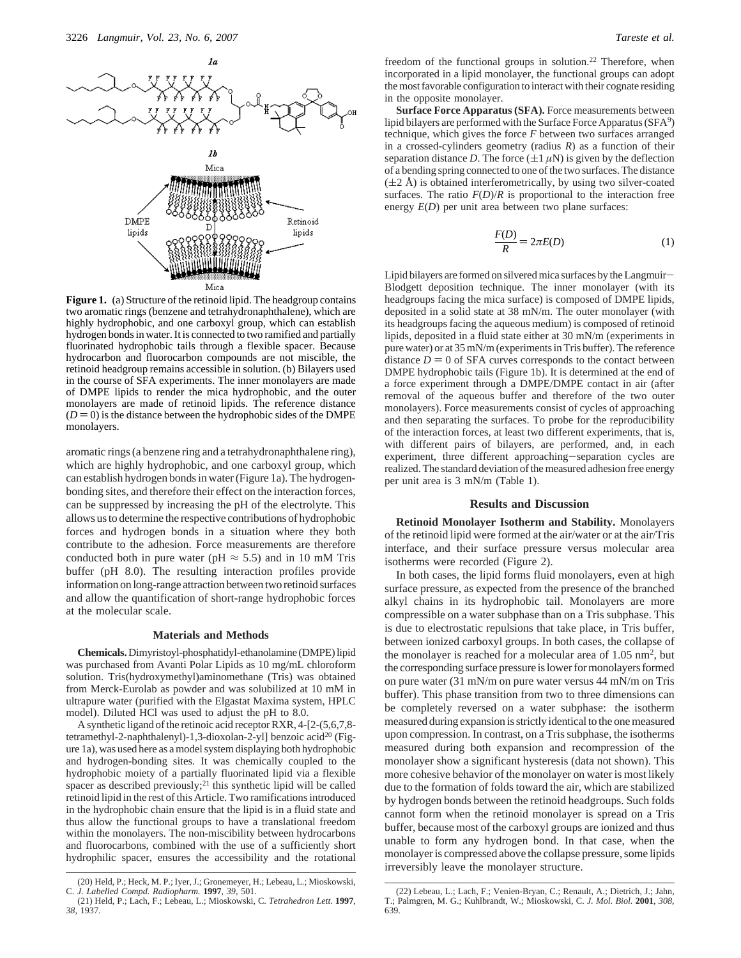

**Figure 1.** (a) Structure of the retinoid lipid. The headgroup contains two aromatic rings (benzene and tetrahydronaphthalene), which are highly hydrophobic, and one carboxyl group, which can establish hydrogen bonds in water. It is connected to two ramified and partially fluorinated hydrophobic tails through a flexible spacer. Because hydrocarbon and fluorocarbon compounds are not miscible, the retinoid headgroup remains accessible in solution. (b) Bilayers used in the course of SFA experiments. The inner monolayers are made of DMPE lipids to render the mica hydrophobic, and the outer monolayers are made of retinoid lipids. The reference distance  $(D = 0)$  is the distance between the hydrophobic sides of the DMPE monolayers.

aromatic rings (a benzene ring and a tetrahydronaphthalene ring), which are highly hydrophobic, and one carboxyl group, which can establish hydrogen bonds in water (Figure 1a). The hydrogenbonding sites, and therefore their effect on the interaction forces, can be suppressed by increasing the pH of the electrolyte. This allows us to determine the respective contributions of hydrophobic forces and hydrogen bonds in a situation where they both contribute to the adhesion. Force measurements are therefore conducted both in pure water (pH  $\approx$  5.5) and in 10 mM Tris buffer (pH 8.0). The resulting interaction profiles provide information on long-range attraction between two retinoid surfaces and allow the quantification of short-range hydrophobic forces at the molecular scale.

#### **Materials and Methods**

**Chemicals.**Dimyristoyl-phosphatidyl-ethanolamine (DMPE) lipid was purchased from Avanti Polar Lipids as 10 mg/mL chloroform solution. Tris(hydroxymethyl)aminomethane (Tris) was obtained from Merck-Eurolab as powder and was solubilized at 10 mM in ultrapure water (purified with the Elgastat Maxima system, HPLC model). Diluted HCl was used to adjust the pH to 8.0.

A synthetic ligand of the retinoic acid receptor RXR, 4-[2-(5,6,7,8 tetramethyl-2-naphthalenyl)-1,3-dioxolan-2-yl] benzoic acid20 (Figure 1a), was used here as a model system displaying both hydrophobic and hydrogen-bonding sites. It was chemically coupled to the hydrophobic moiety of a partially fluorinated lipid via a flexible spacer as described previously; $2<sup>1</sup>$  this synthetic lipid will be called retinoid lipid in the rest of this Article. Two ramifications introduced in the hydrophobic chain ensure that the lipid is in a fluid state and thus allow the functional groups to have a translational freedom within the monolayers. The non-miscibility between hydrocarbons and fluorocarbons, combined with the use of a sufficiently short hydrophilic spacer, ensures the accessibility and the rotational

freedom of the functional groups in solution.<sup>22</sup> Therefore, when incorporated in a lipid monolayer, the functional groups can adopt the most favorable configuration to interact with their cognate residing in the opposite monolayer.

**Surface Force Apparatus (SFA).** Force measurements between lipid bilayers are performed with the Surface Force Apparatus (SFA9) technique, which gives the force *F* between two surfaces arranged in a crossed-cylinders geometry (radius *R*) as a function of their separation distance *D*. The force  $(\pm 1 \mu N)$  is given by the deflection of a bending spring connected to one of the two surfaces. The distance  $(\pm 2 \text{ Å})$  is obtained interferometrically, by using two silver-coated surfaces. The ratio  $F(D)/R$  is proportional to the interaction free energy  $E(D)$  per unit area between two plane surfaces:

$$
\frac{F(D)}{R} = 2\pi E(D) \tag{1}
$$

Lipid bilayers are formed on silvered mica surfaces by the Langmuir-Blodgett deposition technique. The inner monolayer (with its headgroups facing the mica surface) is composed of DMPE lipids, deposited in a solid state at 38 mN/m. The outer monolayer (with its headgroups facing the aqueous medium) is composed of retinoid lipids, deposited in a fluid state either at 30 mN/m (experiments in pure water) or at 35 mN/m (experiments in Tris buffer). The reference distance  $D = 0$  of SFA curves corresponds to the contact between DMPE hydrophobic tails (Figure 1b). It is determined at the end of a force experiment through a DMPE/DMPE contact in air (after removal of the aqueous buffer and therefore of the two outer monolayers). Force measurements consist of cycles of approaching and then separating the surfaces. To probe for the reproducibility of the interaction forces, at least two different experiments, that is, with different pairs of bilayers, are performed, and, in each experiment, three different approaching-separation cycles are realized. The standard deviation of the measured adhesion free energy per unit area is 3 mN/m (Table 1).

## **Results and Discussion**

**Retinoid Monolayer Isotherm and Stability.** Monolayers of the retinoid lipid were formed at the air/water or at the air/Tris interface, and their surface pressure versus molecular area isotherms were recorded (Figure 2).

In both cases, the lipid forms fluid monolayers, even at high surface pressure, as expected from the presence of the branched alkyl chains in its hydrophobic tail. Monolayers are more compressible on a water subphase than on a Tris subphase. This is due to electrostatic repulsions that take place, in Tris buffer, between ionized carboxyl groups. In both cases, the collapse of the monolayer is reached for a molecular area of  $1.05 \text{ nm}^2$ , but the corresponding surface pressure is lower for monolayers formed on pure water (31 mN/m on pure water versus 44 mN/m on Tris buffer). This phase transition from two to three dimensions can be completely reversed on a water subphase: the isotherm measured during expansion is strictly identical to the one measured upon compression. In contrast, on a Tris subphase, the isotherms measured during both expansion and recompression of the monolayer show a significant hysteresis (data not shown). This more cohesive behavior of the monolayer on water is most likely due to the formation of folds toward the air, which are stabilized by hydrogen bonds between the retinoid headgroups. Such folds cannot form when the retinoid monolayer is spread on a Tris buffer, because most of the carboxyl groups are ionized and thus unable to form any hydrogen bond. In that case, when the monolayer is compressed above the collapse pressure, some lipids irreversibly leave the monolayer structure.

<sup>(20)</sup> Held, P.; Heck, M. P.; Iyer, J.; Gronemeyer, H.; Lebeau, L.; Mioskowski, C. *J. Labelled Compd. Radiopharm.* **1997**, *39*, 501.

<sup>(21)</sup> Held, P.; Lach, F.; Lebeau, L.; Mioskowski, C. *Tetrahedron Lett.* **1997**, *38*, 1937.

<sup>(22)</sup> Lebeau, L.; Lach, F.; Venien-Bryan, C.; Renault, A.; Dietrich, J.; Jahn, T.; Palmgren, M. G.; Kuhlbrandt, W.; Mioskowski, C. *J. Mol. Biol.* **2001**, *308*, 639.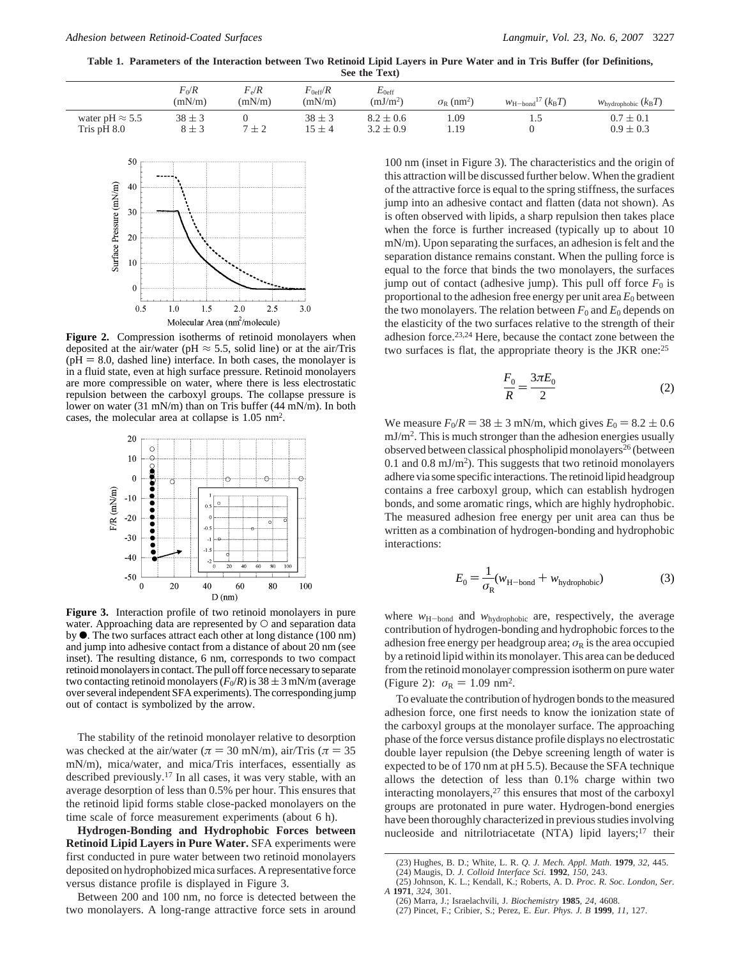**Table 1. Parameters of the Interaction between Two Retinoid Lipid Layers in Pure Water and in Tris Buffer (for Definitions, See the Text)**

|                                            | $F_0/R$<br>(mN/m)       | $F_e/R$<br>(mN/m) | $F_{0\mathrm{eff}}/R$<br>(mN/m) | $E_{0eff}$<br>(mJ/m <sup>2</sup> ) | $\sigma_{\rm R}$ (nm <sup>2</sup> ) | $_{\rm d}^{17}$ ( $k_{\rm B}T$ )<br>$W_{H-bond}$ | $W$ hydrophobic $(k_BT)$       |
|--------------------------------------------|-------------------------|-------------------|---------------------------------|------------------------------------|-------------------------------------|--------------------------------------------------|--------------------------------|
| water pH $\approx$ 5.5<br>Tris $pH\$ $8.0$ | $38 \pm 3$<br>$8 \pm 3$ | $7 \pm 2$         | $38 \pm 3$<br>$15 \pm 4$        | $8.2 \pm 0.6$<br>$3.2 \pm 0.9$     | .09<br>1.19                         | L.J                                              | $0.7 \pm 0.1$<br>$0.9 \pm 0.3$ |



**Figure 2.** Compression isotherms of retinoid monolayers when deposited at the air/water (pH  $\approx$  5.5, solid line) or at the air/Tris  $(pH = 8.0,$  dashed line) interface. In both cases, the monolayer is in a fluid state, even at high surface pressure. Retinoid monolayers are more compressible on water, where there is less electrostatic repulsion between the carboxyl groups. The collapse pressure is lower on water (31 mN/m) than on Tris buffer (44 mN/m). In both cases, the molecular area at collapse is 1.05 nm2.



**Figure 3.** Interaction profile of two retinoid monolayers in pure water. Approaching data are represented by O and separation data by b. The two surfaces attract each other at long distance (100 nm) and jump into adhesive contact from a distance of about 20 nm (see inset). The resulting distance, 6 nm, corresponds to two compact retinoid monolayers in contact. The pull off force necessary to separate two contacting retinoid monolayers  $(F_0/R)$  is  $38 \pm 3$  mN/m (average over several independent SFA experiments). The corresponding jump out of contact is symbolized by the arrow.

The stability of the retinoid monolayer relative to desorption was checked at the air/water ( $\pi = 30$  mN/m), air/Tris ( $\pi = 35$ mN/m), mica/water, and mica/Tris interfaces, essentially as described previously.17 In all cases, it was very stable, with an average desorption of less than 0.5% per hour. This ensures that the retinoid lipid forms stable close-packed monolayers on the time scale of force measurement experiments (about 6 h).

**Hydrogen-Bonding and Hydrophobic Forces between Retinoid Lipid Layers in Pure Water.** SFA experiments were first conducted in pure water between two retinoid monolayers deposited on hydrophobized mica surfaces. A representative force versus distance profile is displayed in Figure 3.

Between 200 and 100 nm, no force is detected between the two monolayers. A long-range attractive force sets in around

100 nm (inset in Figure 3). The characteristics and the origin of this attraction will be discussed further below. When the gradient of the attractive force is equal to the spring stiffness, the surfaces jump into an adhesive contact and flatten (data not shown). As is often observed with lipids, a sharp repulsion then takes place when the force is further increased (typically up to about 10 mN/m). Upon separating the surfaces, an adhesion is felt and the separation distance remains constant. When the pulling force is equal to the force that binds the two monolayers, the surfaces jump out of contact (adhesive jump). This pull off force  $F_0$  is proportional to the adhesion free energy per unit area  $E_0$  between the two monolayers. The relation between  $F_0$  and  $E_0$  depends on the elasticity of the two surfaces relative to the strength of their adhesion force.23,24 Here, because the contact zone between the two surfaces is flat, the appropriate theory is the JKR one:25

$$
\frac{F_0}{R} = \frac{3\pi E_0}{2} \tag{2}
$$

We measure  $F_0/R = 38 \pm 3$  mN/m, which gives  $E_0 = 8.2 \pm 0.6$  $mJ/m<sup>2</sup>$ . This is much stronger than the adhesion energies usually observed between classical phospholipid monolayers<sup>26</sup> (between 0.1 and 0.8 mJ/m<sup>2</sup>). This suggests that two retinoid monolayers adhere via some specific interactions. The retinoid lipid headgroup contains a free carboxyl group, which can establish hydrogen bonds, and some aromatic rings, which are highly hydrophobic. The measured adhesion free energy per unit area can thus be written as a combination of hydrogen-bonding and hydrophobic interactions:

$$
E_0 = \frac{1}{\sigma_R} (w_{\text{H}-\text{bond}} + w_{\text{hydrophobic}}) \tag{3}
$$

where  $w_{\text{H-bond}}$  and  $w_{\text{hydrophobic}}$  are, respectively, the average contribution of hydrogen-bonding and hydrophobic forces to the adhesion free energy per headgroup area;  $\sigma_R$  is the area occupied by a retinoid lipid within its monolayer. This area can be deduced from the retinoid monolayer compression isotherm on pure water (Figure 2):  $\sigma_R = 1.09$  nm<sup>2</sup>.

To evaluate the contribution of hydrogen bonds to the measured adhesion force, one first needs to know the ionization state of the carboxyl groups at the monolayer surface. The approaching phase of the force versus distance profile displays no electrostatic double layer repulsion (the Debye screening length of water is expected to be of 170 nm at pH 5.5). Because the SFA technique allows the detection of less than 0.1% charge within two interacting monolayers, $27$  this ensures that most of the carboxyl groups are protonated in pure water. Hydrogen-bond energies have been thoroughly characterized in previous studies involving nucleoside and nitrilotriacetate (NTA) lipid layers; $17$  their

(26) Marra, J.; Israelachvili, J. *Biochemistry* **1985**, *24*, 4608.

<sup>(23)</sup> Hughes, B. D.; White, L. R. *Q. J. Mech. Appl. Math.* **1979**, *32*, 445.

<sup>(24)</sup> Maugis, D. *J. Colloid Interface Sci.* **1992**, *150*, 243.

<sup>(25)</sup> Johnson, K. L.; Kendall, K.; Roberts, A. D. *Proc. R. Soc. London, Ser. A* **1971**, *324*, 301.

<sup>(27)</sup> Pincet, F.; Cribier, S.; Perez, E. *Eur. Phys. J. B* **1999**, *11*, 127.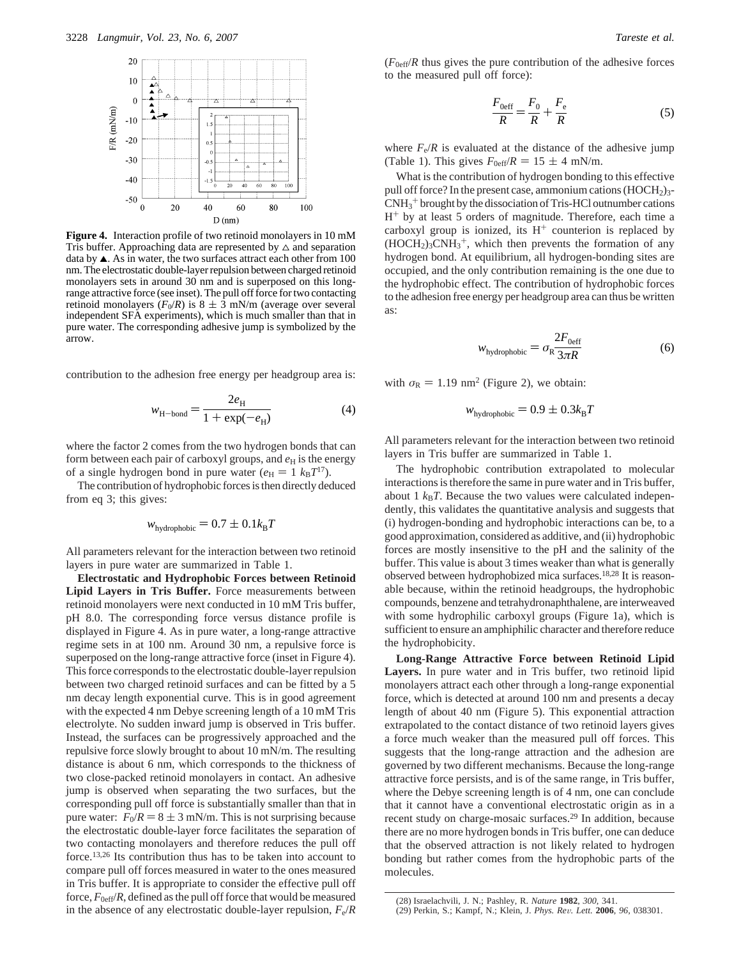

**Figure 4.** Interaction profile of two retinoid monolayers in 10 mM Tris buffer. Approaching data are represented by  $\triangle$  and separation data by  $\triangle$ . As in water, the two surfaces attract each other from 100 nm. The electrostatic double-layer repulsion between charged retinoid monolayers sets in around 30 nm and is superposed on this longrange attractive force (see inset). The pull off force for two contacting retinoid monolayers ( $F_0/R$ ) is  $8 \pm 3$  mN/m (average over several independent SFA experiments), which is much smaller than that in pure water. The corresponding adhesive jump is symbolized by the arrow.

contribution to the adhesion free energy per headgroup area is:

$$
w_{\text{H-bond}} = \frac{2e_{\text{H}}}{1 + \exp(-e_{\text{H}})}
$$
(4)

where the factor 2 comes from the two hydrogen bonds that can form between each pair of carboxyl groups, and  $e_H$  is the energy of a single hydrogen bond in pure water ( $e_H = 1$   $k_B T^{17}$ ).

The contribution of hydrophobic forces is then directly deduced from eq 3; this gives:

$$
w_{\text{hydrophobic}} = 0.7 \pm 0.1 k_{\text{B}} T
$$

All parameters relevant for the interaction between two retinoid layers in pure water are summarized in Table 1.

**Electrostatic and Hydrophobic Forces between Retinoid Lipid Layers in Tris Buffer.** Force measurements between retinoid monolayers were next conducted in 10 mM Tris buffer, pH 8.0. The corresponding force versus distance profile is displayed in Figure 4. As in pure water, a long-range attractive regime sets in at 100 nm. Around 30 nm, a repulsive force is superposed on the long-range attractive force (inset in Figure 4). This force corresponds to the electrostatic double-layer repulsion between two charged retinoid surfaces and can be fitted by a 5 nm decay length exponential curve. This is in good agreement with the expected 4 nm Debye screening length of a 10 mM Tris electrolyte. No sudden inward jump is observed in Tris buffer. Instead, the surfaces can be progressively approached and the repulsive force slowly brought to about 10 mN/m. The resulting distance is about 6 nm, which corresponds to the thickness of two close-packed retinoid monolayers in contact. An adhesive jump is observed when separating the two surfaces, but the corresponding pull off force is substantially smaller than that in pure water:  $F_0/R = 8 \pm 3$  mN/m. This is not surprising because the electrostatic double-layer force facilitates the separation of two contacting monolayers and therefore reduces the pull off force.13,26 Its contribution thus has to be taken into account to compare pull off forces measured in water to the ones measured in Tris buffer. It is appropriate to consider the effective pull off force,  $F_{0\text{eff}}/R$ , defined as the pull off force that would be measured in the absence of any electrostatic double-layer repulsion,  $F_e/R$ 

 $(F_{0\text{eff}}/R)$  thus gives the pure contribution of the adhesive forces to the measured pull off force):

$$
\frac{F_{0\text{eff}}}{R} = \frac{F_0}{R} + \frac{F_e}{R}
$$
 (5)

where  $F_e/R$  is evaluated at the distance of the adhesive jump (Table 1). This gives  $F_{0 \text{eff}}/R = 15 \pm 4 \text{ mN/m}$ .

What is the contribution of hydrogen bonding to this effective pull off force? In the present case, ammonium cations  $(HOCH<sub>2</sub>)<sub>3</sub>$ - $CNH<sub>3</sub><sup>+</sup>$  brought by the dissociation of Tris-HCl outnumber cations  $H<sup>+</sup>$  by at least 5 orders of magnitude. Therefore, each time a carboxyl group is ionized, its  $H^+$  counterion is replaced by  $(HOCH<sub>2</sub>)<sub>3</sub>CNH<sub>3</sub><sup>+</sup>$ , which then prevents the formation of any hydrogen bond. At equilibrium, all hydrogen-bonding sites are occupied, and the only contribution remaining is the one due to the hydrophobic effect. The contribution of hydrophobic forces to the adhesion free energy per headgroup area can thus be written as:

$$
w_{\text{hydrophobic}} = \sigma_{\text{R}} \frac{2F_{\text{0eff}}}{3\pi R}
$$
 (6)

with  $\sigma_R = 1.19$  nm<sup>2</sup> (Figure 2), we obtain:

$$
w_{\text{hydrophobic}} = 0.9 \pm 0.3 k_{\text{B}} T
$$

All parameters relevant for the interaction between two retinoid layers in Tris buffer are summarized in Table 1.

The hydrophobic contribution extrapolated to molecular interactions is therefore the same in pure water and in Tris buffer, about 1  $k_B T$ . Because the two values were calculated independently, this validates the quantitative analysis and suggests that (i) hydrogen-bonding and hydrophobic interactions can be, to a good approximation, considered as additive, and (ii) hydrophobic forces are mostly insensitive to the pH and the salinity of the buffer. This value is about 3 times weaker than what is generally observed between hydrophobized mica surfaces.18,28 It is reasonable because, within the retinoid headgroups, the hydrophobic compounds, benzene and tetrahydronaphthalene, are interweaved with some hydrophilic carboxyl groups (Figure 1a), which is sufficient to ensure an amphiphilic character and therefore reduce the hydrophobicity.

**Long-Range Attractive Force between Retinoid Lipid Layers.** In pure water and in Tris buffer, two retinoid lipid monolayers attract each other through a long-range exponential force, which is detected at around 100 nm and presents a decay length of about 40 nm (Figure 5). This exponential attraction extrapolated to the contact distance of two retinoid layers gives a force much weaker than the measured pull off forces. This suggests that the long-range attraction and the adhesion are governed by two different mechanisms. Because the long-range attractive force persists, and is of the same range, in Tris buffer, where the Debye screening length is of 4 nm, one can conclude that it cannot have a conventional electrostatic origin as in a recent study on charge-mosaic surfaces.29 In addition, because there are no more hydrogen bonds in Tris buffer, one can deduce that the observed attraction is not likely related to hydrogen bonding but rather comes from the hydrophobic parts of the molecules.

<sup>(28)</sup> Israelachvili, J. N.; Pashley, R. *Nature* **1982**, *300*, 341. (29) Perkin, S.; Kampf, N.; Klein, J. *Phys. Re*V*. Lett.* **<sup>2006</sup>**, *<sup>96</sup>*, 038301.